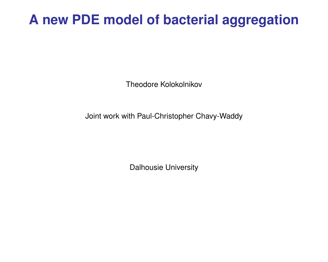# **A new PDE model of bacterial aggregation**

Theodore Kolokolnikov

Joint work with Paul-Christopher Chavy-Waddy

Dalhousie University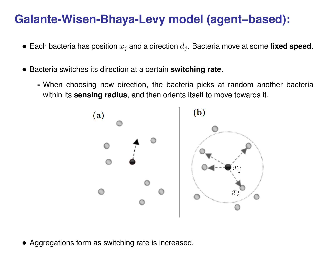### **Galante-Wisen-Bhaya-Levy model (agent–based):**

- $\bullet\,$  Each bacteria has position  $x_j$  and a direction  $d_j.$  Bacteria move at some  $\mathop{\sf fixed}\nolimits$  speed.
- Bacteria switches its direction at a certain **switching rate**.
	- **-** When choosing new direction, the bacteria picks at random another bacteria within its **sensing radius**, and then orients itself to move towards it.



• Aggregations form as switching rate is increased.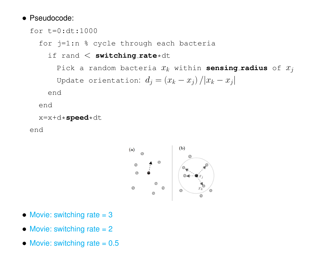#### • Pseudocode:

```
for t=0:dt:1000
```
for j=1:n % cycle through each bacteria

if rand < **switching rate**\*dt

Pick a random bacteria  $x_k$  within **sensing radius** of  $x_j$ Update orientation:  $d_j = \left(x_k - x_j\right) / |x_k - x_j|$ 

end

end

```
x=x+d*speed*dt
```
end



- Movie: switching rate  $= 3$
- Movie: switching rate  $= 2$
- Movie: switching rate  $= 0.5$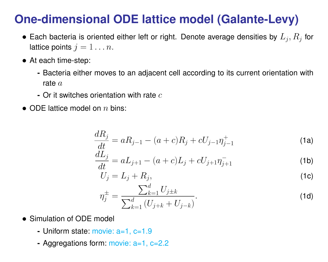## **One-dimensional ODE lattice model (Galante-Levy)**

- $\bullet$  Each bacteria is oriented either left or right. Denote average densities by  $L_j,R_j$  for lattice points  $j = 1 \ldots n$ .
- At each time-step:
	- **-** Bacteria either moves to an adjacent cell according to its current orientation with rate  $a$
	- **-** Or it switches orientation with rate c
- ODE lattice model on  $n$  bins:

$$
\frac{dR_j}{dt} = aR_{j-1} - (a+c)R_j + cU_{j-1}\eta_{j-1}^+
$$
\n(1a)

$$
\frac{dL_j}{dt} = aL_{j+1} - (a+c)L_j + cU_{j+1}\eta_{j+1}^- \tag{1b}
$$

$$
U_j = L_j + R_j,\tag{1c}
$$

$$
\eta_j^{\pm} = \frac{\sum_{k=1}^d U_{j\pm k}}{\sum_{k=1}^d (U_{j+k} + U_{j-k})}.
$$
\n(1d)

- Simulation of ODE model
	- **-** Uniform state: movie: a=1, c=1.9
	- **-** Aggregations form: movie: a=1, c=2.2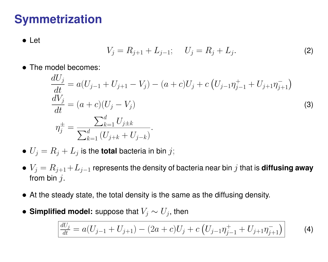## **Symmetrization**

• Let

$$
V_j = R_{j+1} + L_{j-1}; \t U_j = R_j + L_j.
$$
 (2)

• The model becomes:

$$
\frac{dU_j}{dt} = a(U_{j-1} + U_{j+1} - V_j) - (a + c)U_j + c\left(U_{j-1}\eta_{j-1}^+ + U_{j+1}\eta_{j+1}^-\right)
$$
\n
$$
\frac{dV_j}{dt} = (a + c)(U_j - V_j)
$$
\n
$$
\eta_j^{\pm} = \frac{\sum_{k=1}^d U_{j\pm k}}{\sum_{k=1}^d (U_{j+k} + U_{j-k})}.
$$
\n(3)

 $\bullet$   $U_j = R_j + L_j$  is the **total** bacteria in bin  $j;$ 

- $V_j = R_{j+1}+L_{j-1}$  represents the density of bacteria near bin  $j$  that is **diffusing away** from bin  $j$ .
- At the steady state, the total density is the same as the diffusing density.
- $\bullet$  Simplified model: suppose that  $V_j \sim U_j$ , then

$$
\frac{dU_j}{dt} = a(U_{j-1} + U_{j+1}) - (2a + c)U_j + c\left(U_{j-1}\eta_{j-1}^+ + U_{j+1}\eta_{j+1}^-\right) \tag{4}
$$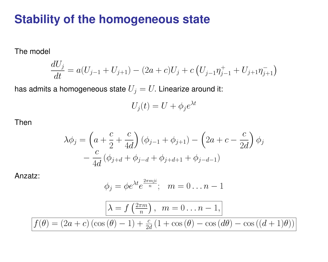#### **Stability of the homogeneous state**

The model

$$
\frac{dU_j}{dt} = a(U_{j-1} + U_{j+1}) - (2a + c)U_j + c\left(U_{j-1}\eta_{j-1}^+ + U_{j+1}\eta_{j+1}^-\right)
$$

has admits a homogeneous state  $U_j = U$ . Linearize around it:

$$
U_j(t) = U + \phi_j e^{\lambda t}
$$

Then

$$
\lambda \phi_j = \left( a + \frac{c}{2} + \frac{c}{4d} \right) (\phi_{j-1} + \phi_{j+1}) - \left( 2a + c - \frac{c}{2d} \right) \phi_j \n- \frac{c}{4d} (\phi_{j+d} + \phi_{j-d} + \phi_{j+d+1} + \phi_{j-d-1})
$$

Anzatz:

$$
\phi_j = \phi e^{\lambda t} e^{\frac{2\pi m j i}{n}}; \quad m = 0 \dots n-1
$$

$$
\boxed{\lambda = f\left(\frac{2\pi m}{n}\right), \quad m = 0 \dots n - 1,}
$$
\n
$$
f(\theta) = (2a + c)\left(\cos\left(\theta\right) - 1\right) + \frac{c}{2d}\left(1 + \cos\left(\theta\right) - \cos\left(d\theta\right) - \cos\left((d+1)\theta\right)\right)}
$$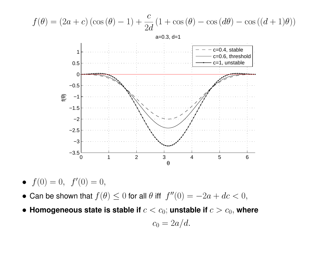

• 
$$
f(0) = 0, \ f'(0) = 0,
$$

- Can be shown that  $f(\theta) \leq 0$  for all  $\theta$  iff  $f''(0) = -2a + dc < 0$ ,
- Homogeneous state is stable if  $c < c_0$ ; unstable if  $c > c_0$ , where

$$
c_0=2a/d.
$$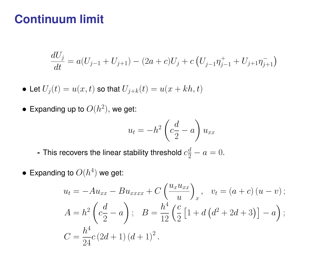#### **Continuum limit**

$$
\frac{dU_j}{dt} = a(U_{j-1} + U_{j+1}) - (2a + c)U_j + c\left(U_{j-1}\eta_{j-1}^+ + U_{j+1}\eta_{j+1}^-\right)
$$

- Let  $U_j(t) = u(x, t)$  so that  $U_{j+k}(t) = u(x + kh, t)$
- $\bullet\,$  Expanding up to  $O(h^2),$  we get:

$$
u_t = -h^2 \left( c \frac{d}{2} - a \right) u_{xx}
$$

- This recovers the linear stability threshold  $c_2^d-a=0.$ 

 $\bullet\,$  Expanding to  $O(h^4)$  we get:

$$
u_t = -Au_{xx} - Bu_{xxxx} + C\left(\frac{u_x u_{xx}}{u}\right)_x, \quad v_t = (a+c)(u-v);
$$
  
\n
$$
A = h^2 \left(c\frac{d}{2} - a\right); \quad B = \frac{h^4}{12} \left(\frac{c}{2} \left[1 + d\left(d^2 + 2d + 3\right)\right] - a\right);
$$
  
\n
$$
C = \frac{h^4}{24}c\left(2d + 1\right)(d + 1)^2.
$$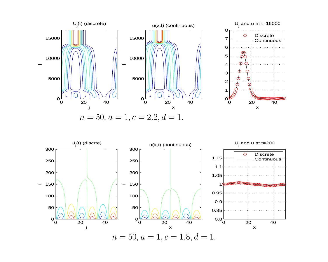



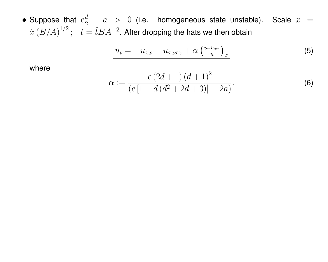• Suppose that  $c_2^d - a > 0$  (i.e. homogeneous state unstable). Scale  $x =$  $\hat{x}\left(B/A\right)^{1/2};~~~t=\hat{t}BA^{-2}.$  After dropping the hats we then obtain

$$
u_t = -u_{xx} - u_{xxxx} + \alpha \left(\frac{u_x u_{xx}}{u}\right)_x \tag{5}
$$

where

$$
\alpha := \frac{c(2d+1)(d+1)^2}{(c[1+d(d^2+2d+3)]-2a)}.
$$
\n(6)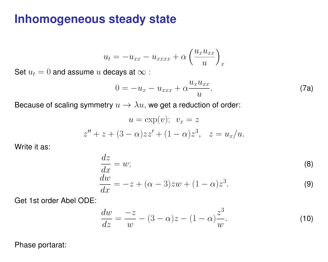#### **Inhomogeneous steady state**

$$
u_t = -u_{xx} - u_{xxxx} + \alpha \left(\frac{u_x u_{xx}}{u}\right)_x
$$

Set  $u_t = 0$  and assume u decays at  $\infty$  :

$$
0 = -u_x - u_{xxx} + \alpha \frac{u_x u_{xx}}{u}.
$$
 (7a)

Because of scaling symmetry  $u \to \lambda u$ , we get a reduction of order:

$$
u = \exp(v); \quad v_x = z
$$
  

$$
z'' + z + (3 - \alpha)zz' + (1 - \alpha)z^3, \quad z = u_x/u.
$$

Write it as:

$$
\frac{dz}{dx} = w;
$$
\n
$$
\frac{dw}{dx} = -z + (\alpha - 3)zw + (1 - \alpha)z^{3}.
$$
\n(9)

Get 1st order Abel ODE:

<span id="page-10-0"></span>
$$
\frac{dw}{dz} = \frac{-z}{w} - (3 - \alpha)z - (1 - \alpha)\frac{z^3}{w}.
$$
 (10)

Phase portarat: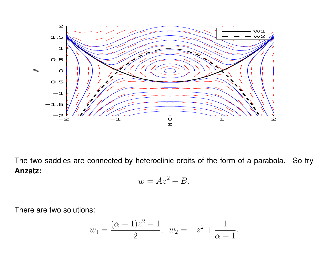

The two saddles are connected by heteroclinic orbits of the form of a parabola. So try **Anzatz:**

$$
w = Az^2 + B.
$$

There are two solutions:

$$
w_1 = \frac{(\alpha - 1)z^2 - 1}{2}
$$
;  $w_2 = -z^2 + \frac{1}{\alpha - 1}$ .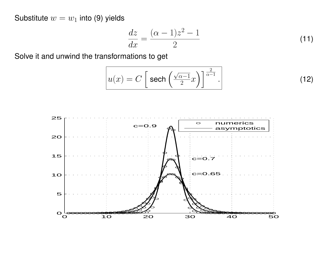Substitute  $w=w_1$  into ([9\)](#page-10-0) yields

$$
\frac{dz}{dx} = \frac{(\alpha - 1)z^2 - 1}{2} \tag{11}
$$

Solve it and unwind the transformations to get

$$
u(x) = C \left[ \text{sech}\left(\frac{\sqrt{\alpha - 1}}{2}x\right) \right]^{\frac{2}{\alpha - 1}}.
$$
 (12)